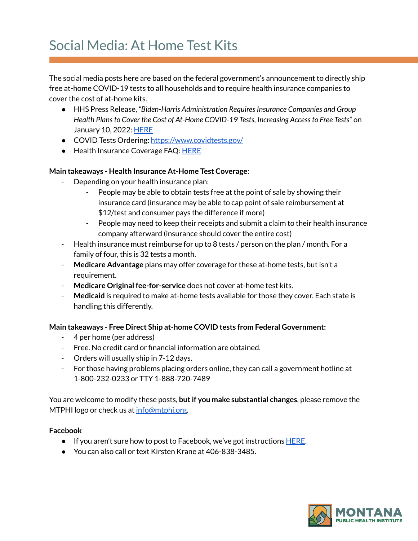## Social Media: At Home Test Kits

The social media posts here are based on the federal government's announcement to directly ship free at-home COVID-19 tests to all households and to require health insurance companies to cover the cost of at-home kits.

- HHS Press Release, *"Biden-Harris Administration RequiresInsurance Companies and Group Health Plansto Cover the Cost of At-Home COVID-19 Tests, Increasing Accessto Free Tests"* on January 10, 2022: [HERE](https://www.hhs.gov/about/news/2022/01/10/biden-harris-administration-requires-insurance-companies-group-health-plans-to-cover-cost-at-home-covid-19-tests-increasing-access-free-tests.html)
- COVID Tests Ordering: <https://www.covidtests.gov/>
- Health Insurance Coverage FAQ: [HERE](https://www.cms.gov/how-to-get-your-at-home-OTC-COVID-19-test-for-free)

## **Main takeaways - Health Insurance At-Home Test Coverage**:

- Depending on your health insurance plan:
	- People may be able to obtain tests free at the point of sale by showing their insurance card (insurance may be able to cap point of sale reimbursement at \$12/test and consumer pays the difference if more)
	- People may need to keep their receipts and submit a claim to their health insurance company afterward (insurance should cover the entire cost)
- Health insurance must reimburse for up to 8 tests / person on the plan / month. For a family of four, this is 32 tests a month.
- **Medicare Advantage** plans may offer coverage for these at-home tests, but isn't a requirement.
- **Medicare Original fee-for-service** does not cover at-home test kits.
- Medicaid is required to make at-home tests available for those they cover. Each state is handling this differently.

## **Main takeaways - Free Direct Ship at-home COVID tests from Federal Government:**

- 4 per home (per address)
- Free. No credit card or financial information are obtained.
- Orders will usually ship in 7-12 days.
- For those having problems placing orders online, they can call a government hotline at 1-800-232-0233 or TTY 1-888-720-7489

You are welcome to modify these posts, **butif you make substantial changes**, please remove the MTPHI logo or check us at [info@mtphi.org.](mailto:info@mtphi.org)

## **Facebook**

- If you aren't sure how to post to Facebook, we've got instructions [HERE](https://docs.google.com/document/d/1lPT5OlsdAcd5UzGaS0B-kcM4cndZhiOHd2b7c3r7f5Q/edit?usp=sharing).
- You can also call or text Kirsten Krane at 406-838-3485.